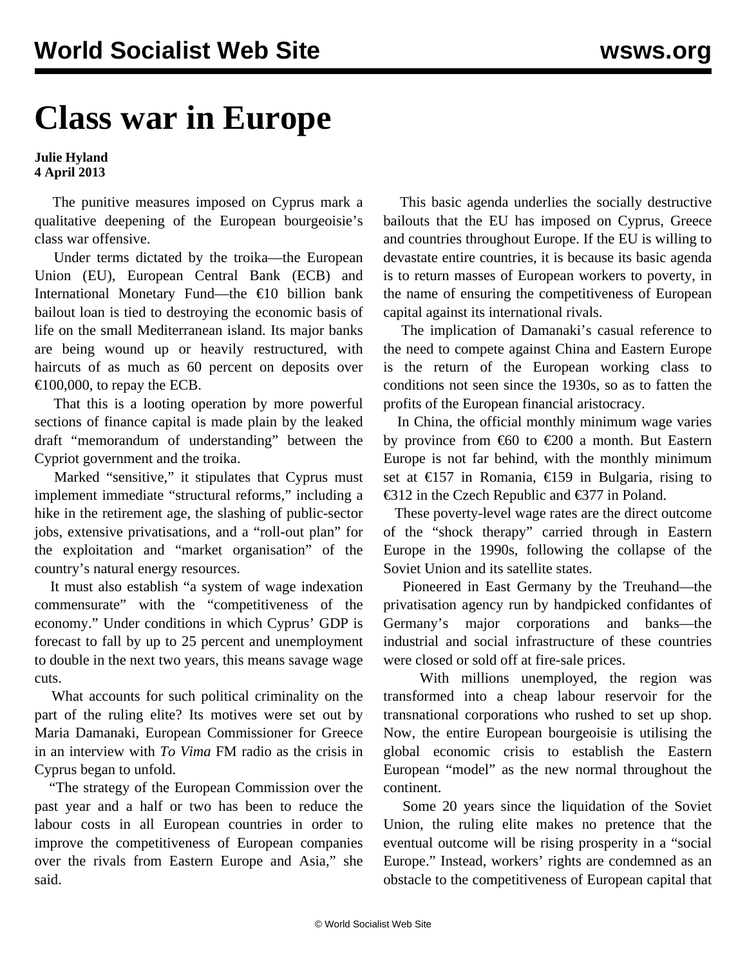## **Class war in Europe**

## **Julie Hyland 4 April 2013**

 The punitive measures imposed on Cyprus mark a qualitative deepening of the European bourgeoisie's class war offensive.

 Under terms dictated by the troika—the European Union (EU), European Central Bank (ECB) and International Monetary Fund—the €10 billion bank bailout loan is tied to destroying the economic basis of life on the small Mediterranean island. Its major banks are being wound up or heavily restructured, with haircuts of as much as 60 percent on deposits over €100,000, to repay the ECB.

 That this is a looting operation by more powerful sections of finance capital is made plain by the leaked draft "memorandum of understanding" between the Cypriot government and the troika.

 Marked "sensitive," it stipulates that Cyprus must implement immediate "structural reforms," including a hike in the retirement age, the slashing of public-sector jobs, extensive privatisations, and a "roll-out plan" for the exploitation and "market organisation" of the country's natural energy resources.

 It must also establish "a system of wage indexation commensurate" with the "competitiveness of the economy." Under conditions in which Cyprus' GDP is forecast to fall by up to 25 percent and unemployment to double in the next two years, this means savage wage cuts.

 What accounts for such political criminality on the part of the ruling elite? Its motives were set out by Maria Damanaki, European Commissioner for Greece in an interview with *To Vima* FM radio as the crisis in Cyprus began to unfold.

 "The strategy of the European Commission over the past year and a half or two has been to reduce the labour costs in all European countries in order to improve the competitiveness of European companies over the rivals from Eastern Europe and Asia," she said.

 This basic agenda underlies the socially destructive bailouts that the EU has imposed on Cyprus, Greece and countries throughout Europe. If the EU is willing to devastate entire countries, it is because its basic agenda is to return masses of European workers to poverty, in the name of ensuring the competitiveness of European capital against its international rivals.

 The implication of Damanaki's casual reference to the need to compete against China and Eastern Europe is the return of the European working class to conditions not seen since the 1930s, so as to fatten the profits of the European financial aristocracy.

 In China, the official monthly minimum wage varies by province from  $\epsilon$ 60 to  $\epsilon$ 200 a month. But Eastern Europe is not far behind, with the monthly minimum set at €157 in Romania, €159 in Bulgaria, rising to €312 in the Czech Republic and €377 in Poland.

 These poverty-level wage rates are the direct outcome of the "shock therapy" carried through in Eastern Europe in the 1990s, following the collapse of the Soviet Union and its satellite states.

 Pioneered in East Germany by the Treuhand—the privatisation agency run by handpicked confidantes of Germany's major corporations and banks—the industrial and social infrastructure of these countries were closed or sold off at fire-sale prices.

 With millions unemployed, the region was transformed into a cheap labour reservoir for the transnational corporations who rushed to set up shop. Now, the entire European bourgeoisie is utilising the global economic crisis to establish the Eastern European "model" as the new normal throughout the continent.

 Some 20 years since the liquidation of the Soviet Union, the ruling elite makes no pretence that the eventual outcome will be rising prosperity in a "social Europe." Instead, workers' rights are condemned as an obstacle to the competitiveness of European capital that